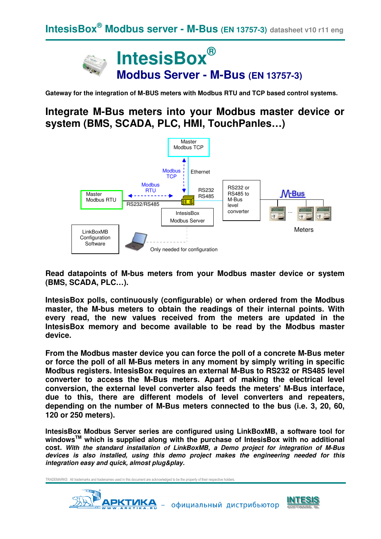

**Gateway for the integration of M-BUS meters with Modbus RTU and TCP based control systems.** 

# **Integrate M-Bus meters into your Modbus master device or system (BMS, SCADA, PLC, HMI, TouchPanles…)**



**Read datapoints of M-bus meters from your Modbus master device or system (BMS, SCADA, PLC…).** 

**IntesisBox polls, continuously (configurable) or when ordered from the Modbus master, the M-bus meters to obtain the readings of their internal points. With every read, the new values received from the meters are updated in the IntesisBox memory and become available to be read by the Modbus master device.** 

**From the Modbus master device you can force the poll of a concrete M-Bus meter or force the poll of all M-Bus meters in any moment by simply writing in specific Modbus registers. IntesisBox requires an external M-Bus to RS232 or RS485 level converter to access the M-Bus meters. Apart of making the electrical level conversion, the external level converter also feeds the meters' M-Bus interface, due to this, there are different models of level converters and repeaters, depending on the number of M-Bus meters connected to the bus (i.e. 3, 20, 60, 120 or 250 meters).** 

**IntesisBox Modbus Server series are configured using LinkBoxMB, a software tool for windowsTM which is supplied along with the purchase of IntesisBox with no additional cost. With the standard installation of LinkBoxMB, a Demo project for integration of M-Bus devices is also installed, using this demo project makes the engineering needed for this integration easy and quick, almost plug&play.**



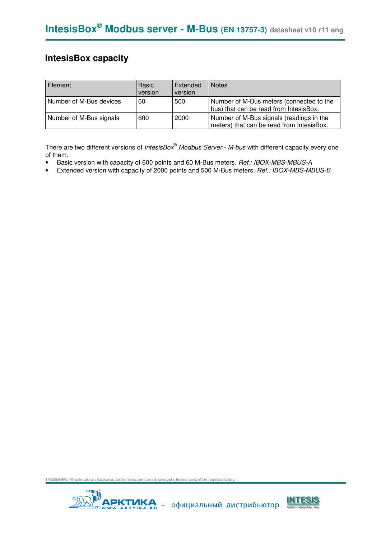## **IntesisBox capacity**

| Element                 | <b>Basic</b><br>version | Extended<br>version | <b>Notes</b>                                                                          |
|-------------------------|-------------------------|---------------------|---------------------------------------------------------------------------------------|
| Number of M-Bus devices | 60                      | 500                 | Number of M-Bus meters (connected to the<br>bus) that can be read from IntesisBox.    |
| Number of M-Bus signals | 600                     | 2000                | Number of M-Bus signals (readings in the<br>meters) that can be read from IntesisBox. |

There are two different versions of *IntesisBox<sup>®</sup> Modbus Server - M-bus* with different capacity every one of them.

- Basic version with capacity of 600 points and 60 M-Bus meters. Ref.: IBOX-MBS-MBUS-A
- Extended version with capacity of 2000 points and 500 M-Bus meters. Ref.: IBOX-MBS-MBUS-B



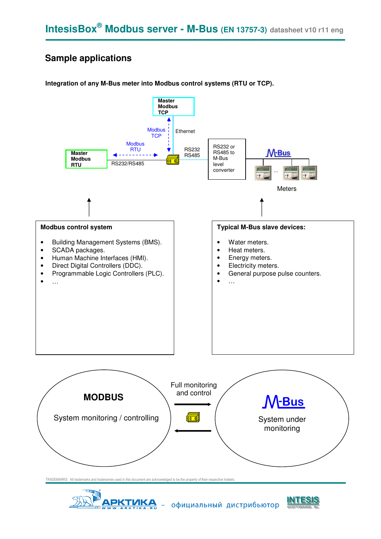## **Sample applications**

#### **Integration of any M-Bus meter into Modbus control systems (RTU or TCP).**





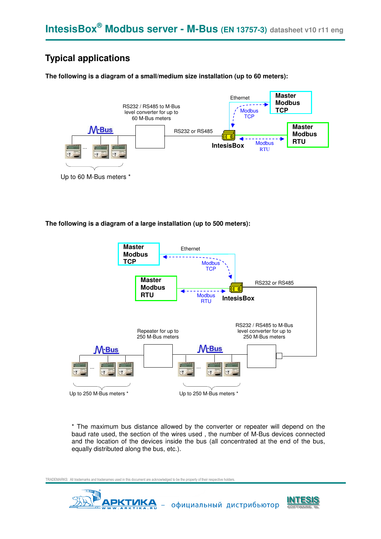# **Typical applications**

**The following is a diagram of a small/medium size installation (up to 60 meters):** 



**The following is a diagram of a large installation (up to 500 meters):** 



\* The maximum bus distance allowed by the converter or repeater will depend on the baud rate used, the section of the wires used , the number of M-Bus devices connected and the location of the devices inside the bus (all concentrated at the end of the bus, equally distributed along the bus, etc.).



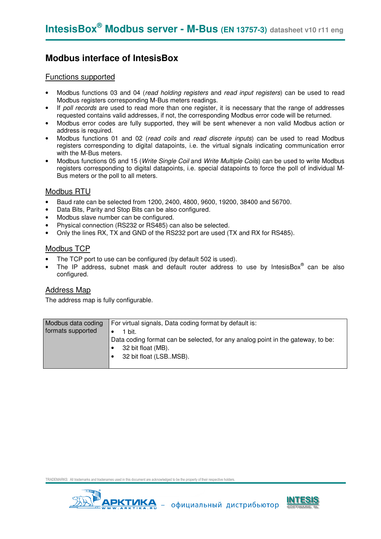## **Modbus interface of IntesisBox**

#### Functions supported

- Modbus functions 03 and 04 (read holding registers and read input registers) can be used to read Modbus registers corresponding M-Bus meters readings.
- If poll records are used to read more than one register, it is necessary that the range of addresses requested contains valid addresses, if not, the corresponding Modbus error code will be returned.
- Modbus error codes are fully supported, they will be sent whenever a non valid Modbus action or address is required.
- Modbus functions 01 and 02 (read coils and read discrete inputs) can be used to read Modbus registers corresponding to digital datapoints, i.e. the virtual signals indicating communication error with the M-Bus meters.
- Modbus functions 05 and 15 (*Write Single Coil* and *Write Multiple Coils*) can be used to write Modbus registers corresponding to digital datapoints, i.e. special datapoints to force the poll of individual M-Bus meters or the poll to all meters.

#### Modbus RTU

- Baud rate can be selected from 1200, 2400, 4800, 9600, 19200, 38400 and 56700.
- Data Bits, Parity and Stop Bits can be also configured.
- Modbus slave number can be configured.
- Physical connection (RS232 or RS485) can also be selected.
- Only the lines RX, TX and GND of the RS232 port are used (TX and RX for RS485).

#### Modbus TCP

- The TCP port to use can be configured (by default 502 is used).
- The IP address, subnet mask and default router address to use by IntesisBox® can be also configured.

#### Address Map

The address map is fully configurable.

| Modbus data coding | For virtual signals, Data coding format by default is:                                                                          |
|--------------------|---------------------------------------------------------------------------------------------------------------------------------|
| formats supported  | 1 bit.                                                                                                                          |
|                    | Data coding format can be selected, for any analog point in the gateway, to be:<br>32 bit float (MB).<br>32 bit float (LSBMSB). |



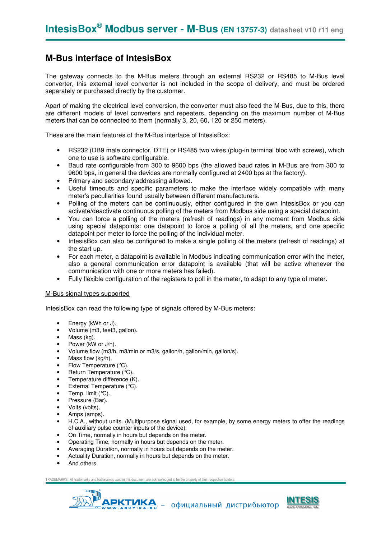### **M-Bus interface of IntesisBox**

The gateway connects to the M-Bus meters through an external RS232 or RS485 to M-Bus level converter, this external level converter is not included in the scope of delivery, and must be ordered separately or purchased directly by the customer.

Apart of making the electrical level conversion, the converter must also feed the M-Bus, due to this, there are different models of level converters and repeaters, depending on the maximum number of M-Bus meters that can be connected to them (normally 3, 20, 60, 120 or 250 meters).

These are the main features of the M-Bus interface of IntesisBox:

- RS232 (DB9 male connector, DTE) or RS485 two wires (plug-in terminal bloc with screws), which one to use is software configurable.
- Baud rate configurable from 300 to 9600 bps (the allowed baud rates in M-Bus are from 300 to 9600 bps, in general the devices are normally configured at 2400 bps at the factory).
- Primary and secondary addressing allowed.
- Useful timeouts and specific parameters to make the interface widely compatible with many meter's peculiarities found usually between different manufacturers.
- Polling of the meters can be continuously, either configured in the own IntesisBox or you can activate/deactivate continuous polling of the meters from Modbus side using a special datapoint.
- You can force a polling of the meters (refresh of readings) in any moment from Modbus side using special datapoints: one datapoint to force a polling of all the meters, and one specific datapoint per meter to force the polling of the individual meter.
- IntesisBox can also be configured to make a single polling of the meters (refresh of readings) at the start up.
- For each meter, a datapoint is available in Modbus indicating communication error with the meter, also a general communication error datapoint is available (that will be active whenever the communication with one or more meters has failed).
- Fully flexible configuration of the registers to poll in the meter, to adapt to any type of meter.

#### M-Bus signal types supported

IntesisBox can read the following type of signals offered by M-Bus meters:

- Energy (kWh or J).
- Volume (m3, feet3, gallon).
- Mass (kg).
- Power (kW or J/h).
- Volume flow (m3/h, m3/min or m3/s, gallon/h, gallon/min, gallon/s).
- Mass flow (kg/h).
- Flow Temperature (°C).
- Return Temperature (°C).
- Temperature difference (K).
- External Temperature (°C).
- Temp. limit  $(°C)$ .
- Pressure (Bar).
- Volts (volts).
- Amps (amps).
- H.C.A., without units. (Multipurpose signal used, for example, by some energy meters to offer the readings of auxiliary pulse counter inputs of the device).
- On Time, normally in hours but depends on the meter.
- Operating Time, normally in hours but depends on the meter.
- Averaging Duration, normally in hours but depends on the meter.
- Actuality Duration, normally in hours but depends on the meter.
- And others.



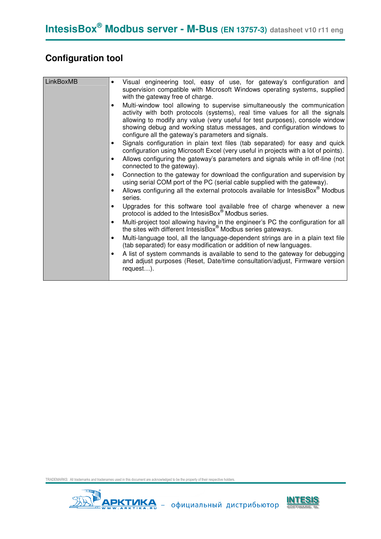# **Configuration tool**

| LinkBoxMB | Visual engineering tool, easy of use, for gateway's configuration and<br>$\bullet$<br>supervision compatible with Microsoft Windows operating systems, supplied<br>with the gateway free of charge.<br>Multi-window tool allowing to supervise simultaneously the communication<br>activity with both protocols (systems), real time values for all the signals<br>allowing to modify any value (very useful for test purposes), console window<br>showing debug and working status messages, and configuration windows to<br>configure all the gateway's parameters and signals.<br>Signals configuration in plain text files (tab separated) for easy and quick<br>configuration using Microsoft Excel (very useful in projects with a lot of points).<br>Allows configuring the gateway's parameters and signals while in off-line (not<br>connected to the gateway).<br>Connection to the gateway for download the configuration and supervision by<br>using serial COM port of the PC (serial cable supplied with the gateway).<br>Allows configuring all the external protocols available for IntesisBox® Modbus<br>series.<br>Upgrades for this software tool available free of charge whenever a new<br>protocol is added to the IntesisBox <sup>®</sup> Modbus series.<br>Multi-project tool allowing having in the engineer's PC the configuration for all<br>the sites with different IntesisBox <sup>®</sup> Modbus series gateways.<br>Multi-language tool, all the language-dependent strings are in a plain text file<br>$\bullet$<br>(tab separated) for easy modification or addition of new languages.<br>A list of system commands is available to send to the gateway for debugging<br>and adjust purposes (Reset, Date/time consultation/adjust, Firmware version |
|-----------|----------------------------------------------------------------------------------------------------------------------------------------------------------------------------------------------------------------------------------------------------------------------------------------------------------------------------------------------------------------------------------------------------------------------------------------------------------------------------------------------------------------------------------------------------------------------------------------------------------------------------------------------------------------------------------------------------------------------------------------------------------------------------------------------------------------------------------------------------------------------------------------------------------------------------------------------------------------------------------------------------------------------------------------------------------------------------------------------------------------------------------------------------------------------------------------------------------------------------------------------------------------------------------------------------------------------------------------------------------------------------------------------------------------------------------------------------------------------------------------------------------------------------------------------------------------------------------------------------------------------------------------------------------------------------------------------------------------------------------------------------------------------------------------|
|           | request).                                                                                                                                                                                                                                                                                                                                                                                                                                                                                                                                                                                                                                                                                                                                                                                                                                                                                                                                                                                                                                                                                                                                                                                                                                                                                                                                                                                                                                                                                                                                                                                                                                                                                                                                                                              |



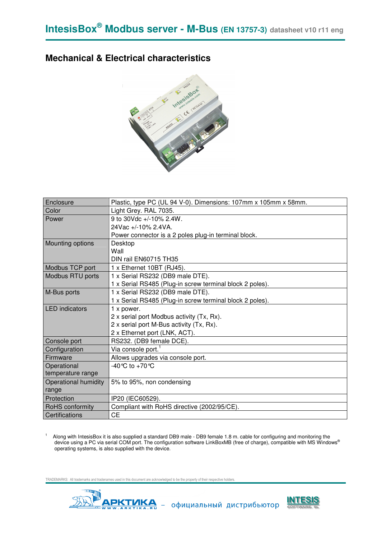### **Mechanical & Electrical characteristics**



| Enclosure             | Plastic, type PC (UL 94 V-0). Dimensions: 107mm x 105mm x 58mm. |
|-----------------------|-----------------------------------------------------------------|
| Color                 | Light Grey. RAL 7035.                                           |
| Power                 | 9 to 30Vdc +/-10% 2.4W.                                         |
|                       | 24Vac +/-10% 2.4VA.                                             |
|                       | Power connector is a 2 poles plug-in terminal block.            |
| Mounting options      | Desktop                                                         |
|                       | Wall                                                            |
|                       | DIN rail EN60715 TH35                                           |
| Modbus TCP port       | 1 x Ethernet 10BT (RJ45).                                       |
| Modbus RTU ports      | 1 x Serial RS232 (DB9 male DTE).                                |
|                       | 1 x Serial RS485 (Plug-in screw terminal block 2 poles).        |
| M-Bus ports           | 1 x Serial RS232 (DB9 male DTE).                                |
|                       | 1 x Serial RS485 (Plug-in screw terminal block 2 poles).        |
| <b>LED</b> indicators | 1 x power.                                                      |
|                       | 2 x serial port Modbus activity (Tx, Rx).                       |
|                       | 2 x serial port M-Bus activity (Tx, Rx).                        |
|                       | 2 x Ethernet port (LNK, ACT).                                   |
| Console port          | RS232. (DB9 female DCE).                                        |
| Configuration         | Via console port.                                               |
| Firmware              | Allows upgrades via console port.                               |
| Operational           | -40 °C to +70 °C                                                |
| temperature range     |                                                                 |
| Operational humidity  | 5% to 95%, non condensing                                       |
| range                 |                                                                 |
| Protection            | IP20 (IEC60529).                                                |
| RoHS conformity       | Compliant with RoHS directive (2002/95/CE).                     |
| Certifications        | <b>CE</b>                                                       |

1 Along with IntesisBox it is also supplied a standard DB9 male - DB9 female 1.8 m. cable for configuring and monitoring the<br>device using a PC via serial COM port. The configuration software LinkBoxMB (free of charge), compa operating systems, is also supplied with the device.